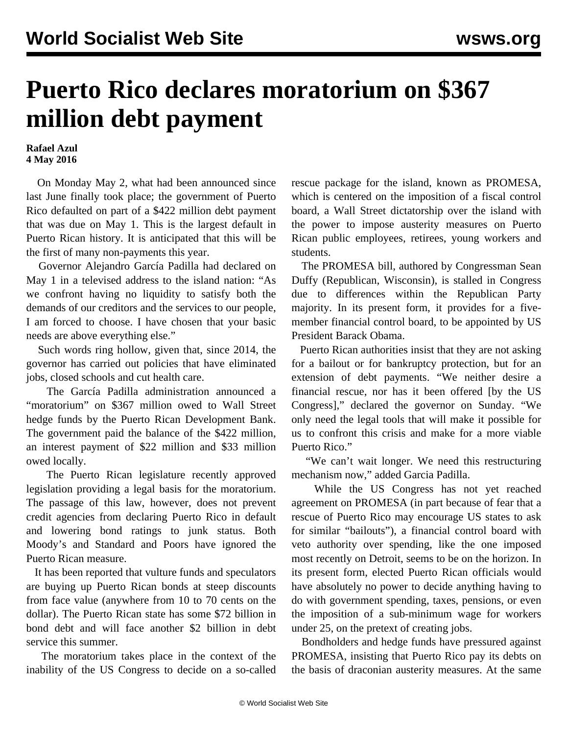## **Puerto Rico declares moratorium on \$367 million debt payment**

## **Rafael Azul 4 May 2016**

 On Monday May 2, what had been announced since last June finally took place; the government of Puerto Rico defaulted on part of a \$422 million debt payment that was due on May 1. This is the largest default in Puerto Rican history. It is anticipated that this will be the first of many non-payments this year.

 Governor Alejandro García Padilla had declared on May 1 in a televised address to the island nation: "As we confront having no liquidity to satisfy both the demands of our creditors and the services to our people, I am forced to choose. I have chosen that your basic needs are above everything else."

 Such words ring hollow, given that, since 2014, the governor has carried out policies that have eliminated jobs, closed schools and cut health care.

 The García Padilla administration announced a "moratorium" on \$367 million owed to Wall Street hedge funds by the Puerto Rican Development Bank. The government paid the balance of the \$422 million, an interest payment of \$22 million and \$33 million owed locally.

 The Puerto Rican legislature recently approved legislation providing a legal basis for the moratorium. The passage of this law, however, does not prevent credit agencies from declaring Puerto Rico in default and lowering bond ratings to junk status. Both Moody's and Standard and Poors have ignored the Puerto Rican measure.

 It has been reported that vulture funds and speculators are buying up Puerto Rican bonds at steep discounts from face value (anywhere from 10 to 70 cents on the dollar). The Puerto Rican state has some \$72 billion in bond debt and will face another \$2 billion in debt service this summer.

 The moratorium takes place in the context of the inability of the US Congress to decide on a so-called rescue package for the island, known as PROMESA, which is centered on the imposition of a fiscal control board, a Wall Street dictatorship over the island with the power to impose austerity measures on Puerto Rican public employees, retirees, young workers and students.

 The PROMESA bill, authored by Congressman Sean Duffy (Republican, Wisconsin), is stalled in Congress due to differences within the Republican Party majority. In its present form, it provides for a fivemember financial control board, to be appointed by US President Barack Obama.

 Puerto Rican authorities insist that they are not asking for a bailout or for bankruptcy protection, but for an extension of debt payments. "We neither desire a financial rescue, nor has it been offered [by the US Congress]," declared the governor on Sunday. "We only need the legal tools that will make it possible for us to confront this crisis and make for a more viable Puerto Rico."

 "We can't wait longer. We need this restructuring mechanism now," added Garcia Padilla.

 While the US Congress has not yet reached agreement on PROMESA (in part because of fear that a rescue of Puerto Rico may encourage US states to ask for similar "bailouts"), a financial control board with veto authority over spending, like the one imposed most recently on Detroit, seems to be on the horizon. In its present form, elected Puerto Rican officials would have absolutely no power to decide anything having to do with government spending, taxes, pensions, or even the imposition of a sub-minimum wage for workers under 25, on the pretext of creating jobs.

 Bondholders and hedge funds have pressured against PROMESA, insisting that Puerto Rico pay its debts on the basis of draconian austerity measures. At the same